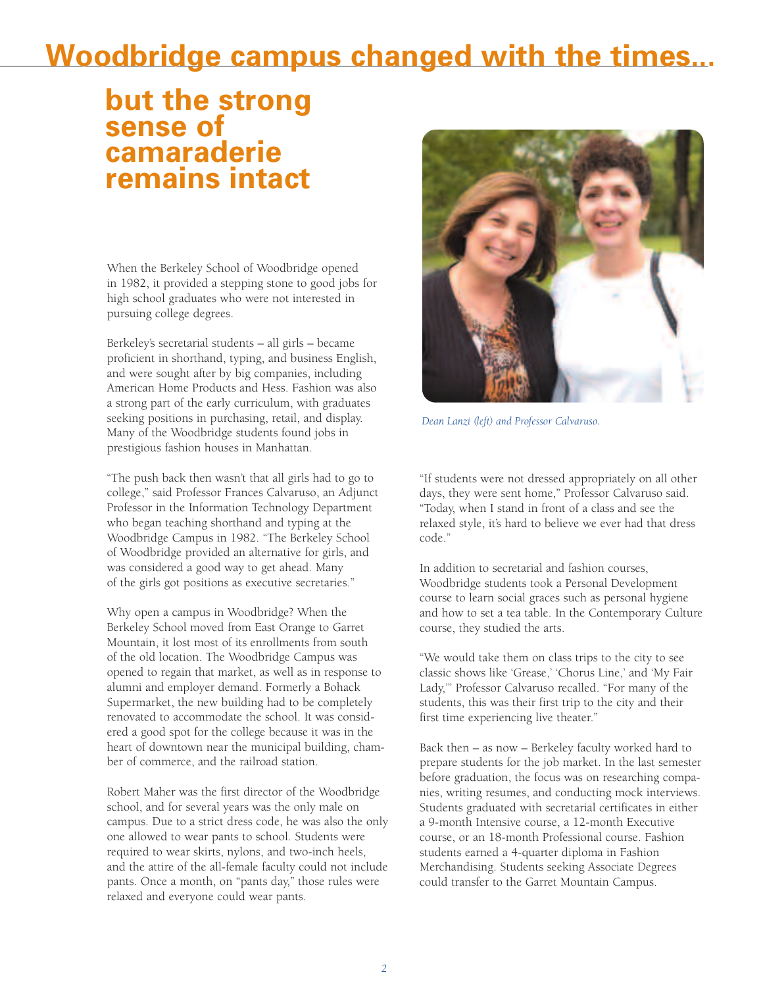## **Woodbridge campus changed with the times...**

## **but the strong sense of camaraderie remains intact**

When the Berkeley School of Woodbridge opened in 1982, it provided a stepping stone to good jobs for high school graduates who were not interested in pursuing college degrees.

Berkeley's secretarial students – all girls – became proficient in shorthand, typing, and business English, and were sought after by big companies, including American Home Products and Hess. Fashion was also a strong part of the early curriculum, with graduates seeking positions in purchasing, retail, and display. Many of the Woodbridge students found jobs in prestigious fashion houses in Manhattan.

"The push back then wasn't that all girls had to go to college," said Professor Frances Calvaruso, an Adjunct Professor in the Information Technology Department who began teaching shorthand and typing at the Woodbridge Campus in 1982. "The Berkeley School of Woodbridge provided an alternative for girls, and was considered a good way to get ahead. Many of the girls got positions as executive secretaries."

Why open a campus in Woodbridge? When the Berkeley School moved from East Orange to Garret Mountain, it lost most of its enrollments from south of the old location. The Woodbridge Campus was opened to regain that market, as well as in response to alumni and employer demand. Formerly a Bohack Supermarket, the new building had to be completely renovated to accommodate the school. It was considered a good spot for the college because it was in the heart of downtown near the municipal building, chamber of commerce, and the railroad station.

Robert Maher was the first director of the Woodbridge school, and for several years was the only male on campus. Due to a strict dress code, he was also the only one allowed to wear pants to school. Students were required to wear skirts, nylons, and two-inch heels, and the attire of the all-female faculty could not include pants. Once a month, on "pants day," those rules were relaxed and everyone could wear pants.



*Dean Lanzi (left) and Professor Calvaruso.*

"If students were not dressed appropriately on all other days, they were sent home," Professor Calvaruso said. "Today, when I stand in front of a class and see the relaxed style, it's hard to believe we ever had that dress code."

In addition to secretarial and fashion courses, Woodbridge students took a Personal Development course to learn social graces such as personal hygiene and how to set a tea table. In the Contemporary Culture course, they studied the arts.

"We would take them on class trips to the city to see classic shows like 'Grease,' 'Chorus Line,' and 'My Fair Lady,'" Professor Calvaruso recalled. "For many of the students, this was their first trip to the city and their first time experiencing live theater."

Back then – as now – Berkeley faculty worked hard to prepare students for the job market. In the last semester before graduation, the focus was on researching companies, writing resumes, and conducting mock interviews. Students graduated with secretarial certificates in either a 9-month Intensive course, a 12-month Executive course, or an 18-month Professional course. Fashion students earned a 4-quarter diploma in Fashion Merchandising. Students seeking Associate Degrees could transfer to the Garret Mountain Campus.